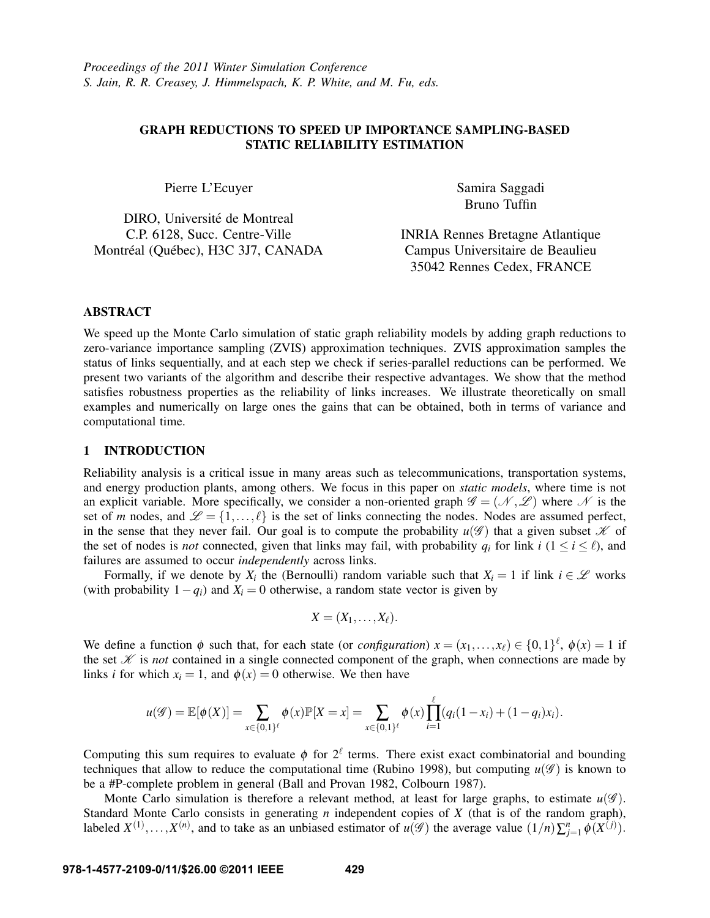# GRAPH REDUCTIONS TO SPEED UP IMPORTANCE SAMPLING-BASED STATIC RELIABILITY ESTIMATION

Pierre L'Ecuyer

DIRO, Université de Montreal C.P. 6128, Succ. Centre-Ville Montréal (Québec), H3C 3J7, CANADA Samira Saggadi Bruno Tuffin

INRIA Rennes Bretagne Atlantique Campus Universitaire de Beaulieu 35042 Rennes Cedex, FRANCE

# ABSTRACT

We speed up the Monte Carlo simulation of static graph reliability models by adding graph reductions to zero-variance importance sampling (ZVIS) approximation techniques. ZVIS approximation samples the status of links sequentially, and at each step we check if series-parallel reductions can be performed. We present two variants of the algorithm and describe their respective advantages. We show that the method satisfies robustness properties as the reliability of links increases. We illustrate theoretically on small examples and numerically on large ones the gains that can be obtained, both in terms of variance and computational time.

#### 1 INTRODUCTION

Reliability analysis is a critical issue in many areas such as telecommunications, transportation systems, and energy production plants, among others. We focus in this paper on *static models*, where time is not an explicit variable. More specifically, we consider a non-oriented graph  $\mathscr{G} = (\mathscr{N}, \mathscr{L})$  where  $\mathscr{N}$  is the set of *m* nodes, and  $\mathcal{L} = \{1, ..., \ell\}$  is the set of links connecting the nodes. Nodes are assumed perfect, in the sense that they never fail. Our goal is to compute the probability  $u(\mathscr{G})$  that a given subset  $\mathscr K$  of the set of nodes is *not* connected, given that links may fail, with probability  $q_i$  for link  $i$  ( $1 \le i \le \ell$ ), and failures are assumed to occur *independently* across links.

Formally, if we denote by  $X_i$  the (Bernoulli) random variable such that  $X_i = 1$  if link  $i \in \mathcal{L}$  works (with probability  $1 - q_i$ ) and  $\dot{X}_i = 0$  otherwise, a random state vector is given by

$$
X=(X_1,\ldots,X_\ell).
$$

We define a function  $\phi$  such that, for each state (or *configuration*)  $x = (x_1, \ldots, x_\ell) \in \{0,1\}^\ell$ ,  $\phi(x) = 1$  if the set  $\mathcal K$  is *not* contained in a single connected component of the graph, when connections are made by links *i* for which  $x_i = 1$ , and  $\phi(x) = 0$  otherwise. We then have

$$
u(\mathscr{G}) = \mathbb{E}[\phi(X)] = \sum_{x \in \{0,1\}^\ell} \phi(x) \mathbb{P}[X = x] = \sum_{x \in \{0,1\}^\ell} \phi(x) \prod_{i=1}^\ell (q_i(1-x_i) + (1-q_i)x_i).
$$

Computing this sum requires to evaluate  $\phi$  for  $2^{\ell}$  terms. There exist exact combinatorial and bounding techniques that allow to reduce the computational time (Rubino 1998), but computing  $u(\mathscr{G})$  is known to be a #P-complete problem in general (Ball and Provan 1982, Colbourn 1987).

Monte Carlo simulation is therefore a relevant method, at least for large graphs, to estimate  $u(\mathscr{G})$ . Standard Monte Carlo consists in generating *n* independent copies of *X* (that is of the random graph), labeled  $X^{(1)}, \ldots, X^{(n)}$ , and to take as an unbiased estimator of  $u(\mathscr{G})$  the average value  $(1/n)\sum_{j=1}^{n} \phi(X^{(j)})$ .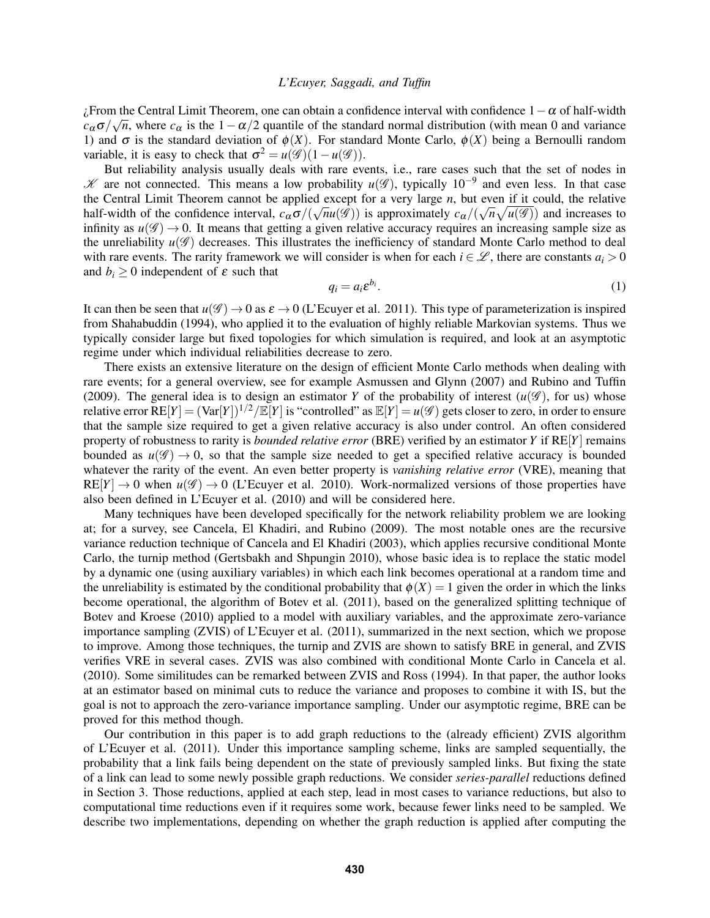$\zeta$ From the Central Limit Theorem, one can obtain a confidence interval with confidence  $1-\alpha$  of half-width  $c_{\alpha}\sigma/\sqrt{n}$ , where  $c_{\alpha}$  is the 1 -  $\alpha/2$  quantile of the standard normal distribution (with mean 0 and variance 1) and σ is the standard deviation of  $φ(X)$ . For standard Monte Carlo,  $φ(X)$  being a Bernoulli random variable, it is easy to check that  $\sigma^2 = u(\mathscr{G})(1 - u(\mathscr{G}))$ .

But reliability analysis usually deals with rare events, i.e., rare cases such that the set of nodes in  $K$  are not connected. This means a low probability  $u(\mathscr{G})$ , typically 10<sup>-9</sup> and even less. In that case the Central Limit Theorem cannot be applied except for a very large *n*, but even if it could, the relative half-width of the confidence interval,  $c_{\alpha}\sigma/(\sqrt{n}u(\mathscr{G}))$  is approximately  $c_{\alpha}/(\sqrt{n}\sqrt{u(\mathscr{G})})$  and increases to infinity as  $u(\mathscr{G}) \to 0$ . It means that getting a given relative accuracy requires an increasing sample size as the unreliability  $u(\mathscr{G})$  decreases. This illustrates the inefficiency of standard Monte Carlo method to deal with rare events. The rarity framework we will consider is when for each  $i \in \mathcal{L}$ , there are constants  $a_i > 0$ and  $b_i \geq 0$  independent of  $\varepsilon$  such that

$$
q_i = a_i \varepsilon^{b_i}.\tag{1}
$$

It can then be seen that  $u(\mathscr{G}) \to 0$  as  $\varepsilon \to 0$  (L'Ecuyer et al. 2011). This type of parameterization is inspired from Shahabuddin (1994), who applied it to the evaluation of highly reliable Markovian systems. Thus we typically consider large but fixed topologies for which simulation is required, and look at an asymptotic regime under which individual reliabilities decrease to zero.

There exists an extensive literature on the design of efficient Monte Carlo methods when dealing with rare events; for a general overview, see for example Asmussen and Glynn (2007) and Rubino and Tuffin (2009). The general idea is to design an estimator *Y* of the probability of interest  $(u(\mathscr{G}))$ , for us) whose relative error  $RE[Y] = (Var[Y])^{1/2}/E[Y]$  is "controlled" as  $E[Y] = u(\mathscr{G})$  gets closer to zero, in order to ensure that the sample size required to get a given relative accuracy is also under control. An often considered property of robustness to rarity is *bounded relative error* (BRE) verified by an estimator *Y* if RE[*Y*] remains bounded as  $u(\mathscr{G}) \to 0$ , so that the sample size needed to get a specified relative accuracy is bounded whatever the rarity of the event. An even better property is *vanishing relative error* (VRE), meaning that  $RE[Y] \rightarrow 0$  when  $u(\mathscr{G}) \rightarrow 0$  (L'Ecuyer et al. 2010). Work-normalized versions of those properties have also been defined in L'Ecuyer et al. (2010) and will be considered here.

Many techniques have been developed specifically for the network reliability problem we are looking at; for a survey, see Cancela, El Khadiri, and Rubino (2009). The most notable ones are the recursive variance reduction technique of Cancela and El Khadiri (2003), which applies recursive conditional Monte Carlo, the turnip method (Gertsbakh and Shpungin 2010), whose basic idea is to replace the static model by a dynamic one (using auxiliary variables) in which each link becomes operational at a random time and the unreliability is estimated by the conditional probability that  $\phi(X) = 1$  given the order in which the links become operational, the algorithm of Botev et al. (2011), based on the generalized splitting technique of Botev and Kroese (2010) applied to a model with auxiliary variables, and the approximate zero-variance importance sampling (ZVIS) of L'Ecuyer et al. (2011), summarized in the next section, which we propose to improve. Among those techniques, the turnip and ZVIS are shown to satisfy BRE in general, and ZVIS verifies VRE in several cases. ZVIS was also combined with conditional Monte Carlo in Cancela et al. (2010). Some similitudes can be remarked between ZVIS and Ross (1994). In that paper, the author looks at an estimator based on minimal cuts to reduce the variance and proposes to combine it with IS, but the goal is not to approach the zero-variance importance sampling. Under our asymptotic regime, BRE can be proved for this method though.

Our contribution in this paper is to add graph reductions to the (already efficient) ZVIS algorithm of L'Ecuyer et al. (2011). Under this importance sampling scheme, links are sampled sequentially, the probability that a link fails being dependent on the state of previously sampled links. But fixing the state of a link can lead to some newly possible graph reductions. We consider *series-parallel* reductions defined in Section 3. Those reductions, applied at each step, lead in most cases to variance reductions, but also to computational time reductions even if it requires some work, because fewer links need to be sampled. We describe two implementations, depending on whether the graph reduction is applied after computing the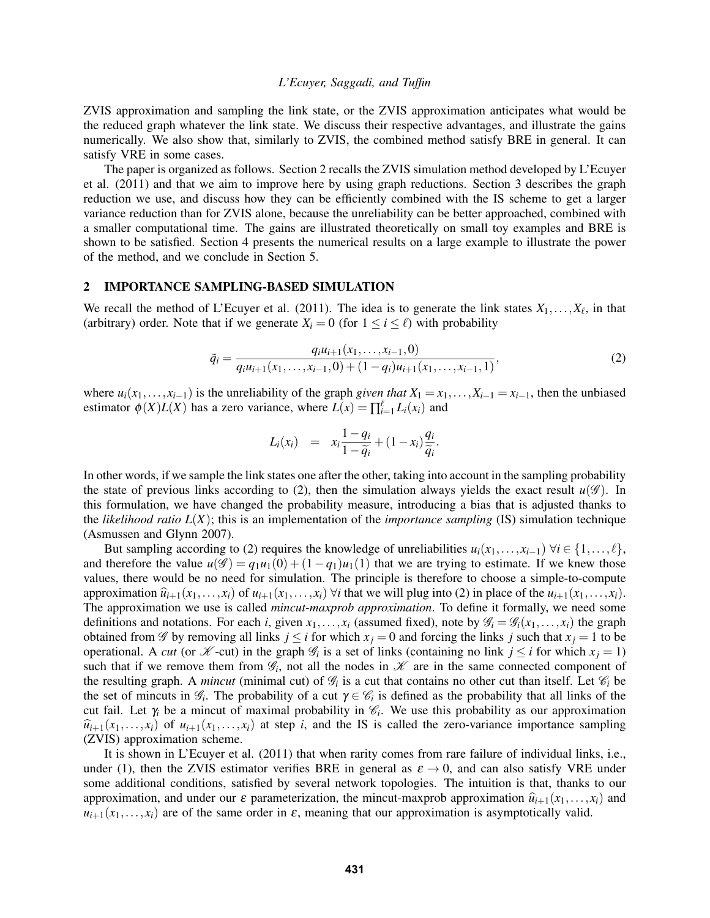ZVIS approximation and sampling the link state, or the ZVIS approximation anticipates what would be the reduced graph whatever the link state. We discuss their respective advantages, and illustrate the gains numerically. We also show that, similarly to ZVIS, the combined method satisfy BRE in general. It can satisfy VRE in some cases.

The paper is organized as follows. Section 2 recalls the ZVIS simulation method developed by L'Ecuyer et al. (2011) and that we aim to improve here by using graph reductions. Section 3 describes the graph reduction we use, and discuss how they can be efficiently combined with the IS scheme to get a larger variance reduction than for ZVIS alone, because the unreliability can be better approached, combined with a smaller computational time. The gains are illustrated theoretically on small toy examples and BRE is shown to be satisfied. Section 4 presents the numerical results on a large example to illustrate the power of the method, and we conclude in Section 5.

#### 2 IMPORTANCE SAMPLING-BASED SIMULATION

We recall the method of L'Ecuyer et al. (2011). The idea is to generate the link states  $X_1, \ldots, X_\ell$ , in that (arbitrary) order. Note that if we generate  $X_i = 0$  (for  $1 \le i \le \ell$ ) with probability

$$
\tilde{q}_i = \frac{q_i u_{i+1}(x_1, \dots, x_{i-1}, 0)}{q_i u_{i+1}(x_1, \dots, x_{i-1}, 0) + (1 - q_i) u_{i+1}(x_1, \dots, x_{i-1}, 1)},\tag{2}
$$

where  $u_i(x_1,...,x_{i-1})$  is the unreliability of the graph *given that*  $X_1 = x_1,...,X_{i-1} = x_{i-1}$ , then the unbiased estimator  $\phi(X)L(X)$  has a zero variance, where  $\overline{L(x)} = \prod_{i=1}^{\ell} L_i(x_i)$  and

$$
L_i(x_i) = x_i \frac{1 - q_i}{1 - \widetilde{q}_i} + (1 - x_i) \frac{q_i}{\widetilde{q}_i}.
$$

In other words, if we sample the link states one after the other, taking into account in the sampling probability the state of previous links according to (2), then the simulation always yields the exact result  $u(\mathscr{G})$ . In this formulation, we have changed the probability measure, introducing a bias that is adjusted thanks to the *likelihood ratio L*(*X*); this is an implementation of the *importance sampling* (IS) simulation technique (Asmussen and Glynn 2007).

But sampling according to (2) requires the knowledge of unreliabilities  $u_i(x_1,...,x_{i-1}) \forall i \in \{1,...,\ell\},$ and therefore the value  $u(\mathcal{G}) = q_1u_1(0) + (1 - q_1)u_1(1)$  that we are trying to estimate. If we knew those values, there would be no need for simulation. The principle is therefore to choose a simple-to-compute approximation  $\hat{u}_{i+1}(x_1,...,x_i)$  of  $u_{i+1}(x_1,...,x_i)$   $\forall i$  that we will plug into (2) in place of the  $u_{i+1}(x_1,...,x_i)$ . The approximation we use is called *mincut-maxprob approximation*. To define it formally, we need some definitions and notations. For each *i*, given  $x_1, \ldots, x_i$  (assumed fixed), note by  $\mathcal{G}_i = \mathcal{G}_i(x_1, \ldots, x_i)$  the graph obtained from  $\mathscr G$  by removing all links  $j \leq i$  for which  $x_j = 0$  and forcing the links  $j$  such that  $x_j = 1$  to be operational. A *cut* (or  $\mathcal{K}$ -cut) in the graph  $\mathcal{G}_i$  is a set of links (containing no link  $j \leq i$  for which  $x_j = 1$ ) such that if we remove them from  $\mathcal{G}_i$ , not all the nodes in  $\mathcal{K}$  are in the same connected component of the resulting graph. A *mincut* (minimal cut) of  $\mathcal{G}_i$  is a cut that contains no other cut than itself. Let  $\mathcal{C}_i$  be the set of mincuts in  $\mathcal{G}_i$ . The probability of a cut  $\gamma \in \mathcal{C}_i$  is defined as the probability that all links of the cut fail. Let  $\gamma_i$  be a mincut of maximal probability in  $\mathcal{C}_i$ . We use this probability as our approximation  $\hat{u}_{i+1}(x_1,...,x_i)$  of  $u_{i+1}(x_1,...,x_i)$  at step *i*, and the IS is called the zero-variance importance sampling (ZVIS) approximation scheme.

It is shown in L'Ecuyer et al. (2011) that when rarity comes from rare failure of individual links, i.e., under (1), then the ZVIS estimator verifies BRE in general as  $\varepsilon \to 0$ , and can also satisfy VRE under some additional conditions, satisfied by several network topologies. The intuition is that, thanks to our approximation, and under our  $\varepsilon$  parameterization, the mincut-maxprob approximation  $\hat{u}_{i+1}(x_1,...,x_i)$  and  $u_{i+1}(x_1,...,x_i)$  are of the same order in  $\varepsilon$ , meaning that our approximation is asymptotically valid.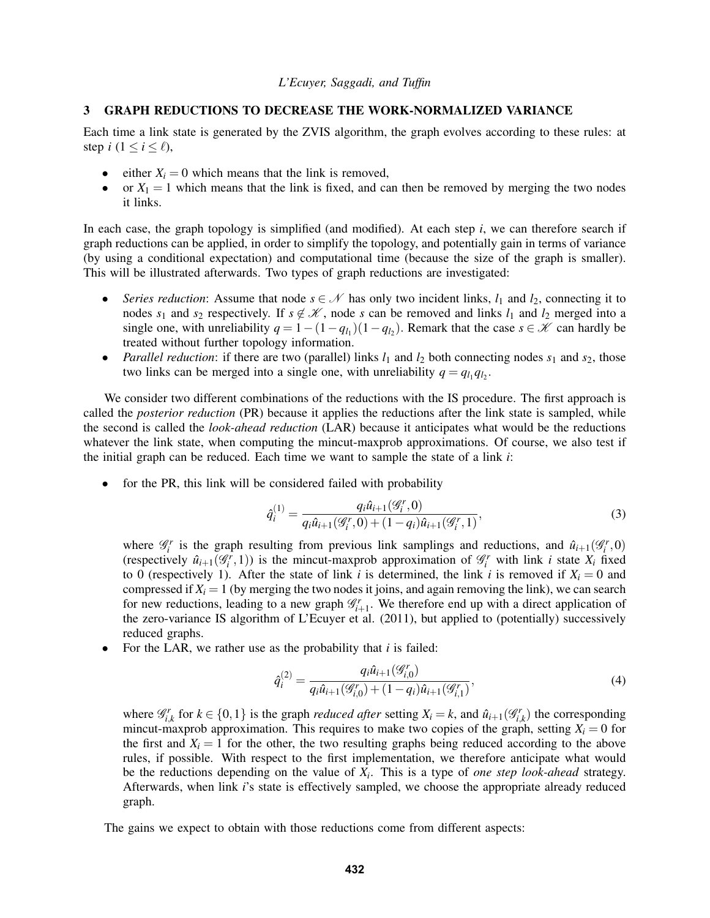#### 3 GRAPH REDUCTIONS TO DECREASE THE WORK-NORMALIZED VARIANCE

Each time a link state is generated by the ZVIS algorithm, the graph evolves according to these rules: at step *i*  $(1 \le i \le \ell)$ ,

- either  $X_i = 0$  which means that the link is removed,
- or  $X_1 = 1$  which means that the link is fixed, and can then be removed by merging the two nodes it links.

In each case, the graph topology is simplified (and modified). At each step *i*, we can therefore search if graph reductions can be applied, in order to simplify the topology, and potentially gain in terms of variance (by using a conditional expectation) and computational time (because the size of the graph is smaller). This will be illustrated afterwards. Two types of graph reductions are investigated:

- *Series reduction*: Assume that node  $s \in \mathcal{N}$  has only two incident links,  $l_1$  and  $l_2$ , connecting it to nodes  $s_1$  and  $s_2$  respectively. If  $s \notin \mathcal{K}$ , node *s* can be removed and links  $l_1$  and  $l_2$  merged into a single one, with unreliability  $q = 1 - (1 - q_{l_1})(1 - q_{l_2})$ . Remark that the case  $s \in \mathcal{K}$  can hardly be treated without further topology information.
- *Parallel reduction*: if there are two (parallel) links  $l_1$  and  $l_2$  both connecting nodes  $s_1$  and  $s_2$ , those two links can be merged into a single one, with unreliability  $q = q_{l_1} q_{l_2}$ .

We consider two different combinations of the reductions with the IS procedure. The first approach is called the *posterior reduction* (PR) because it applies the reductions after the link state is sampled, while the second is called the *look-ahead reduction* (LAR) because it anticipates what would be the reductions whatever the link state, when computing the mincut-maxprob approximations. Of course, we also test if the initial graph can be reduced. Each time we want to sample the state of a link *i*:

for the PR, this link will be considered failed with probability

$$
\hat{q}_i^{(1)} = \frac{q_i \hat{u}_{i+1}(\mathcal{G}_i^r, 0)}{q_i \hat{u}_{i+1}(\mathcal{G}_i^r, 0) + (1 - q_i) \hat{u}_{i+1}(\mathcal{G}_i^r, 1)},\tag{3}
$$

where  $\mathcal{G}_i^r$  is the graph resulting from previous link samplings and reductions, and  $\hat{u}_{i+1}(\mathcal{G}_i^r,0)$ (respectively  $\hat{u}_{i+1}(g_i^r, 1)$ ) is the mincut-maxprob approximation of  $\mathcal{G}_i^r$  with link *i* state  $X_i$  fixed to 0 (respectively 1). After the state of link *i* is determined, the link *i* is removed if  $X_i = 0$  and compressed if  $X_i = 1$  (by merging the two nodes it joins, and again removing the link), we can search for new reductions, leading to a new graph  $\mathcal{G}_{i+1}^r$ . We therefore end up with a direct application of the zero-variance IS algorithm of L'Ecuyer et al. (2011), but applied to (potentially) successively reduced graphs.

• For the LAR, we rather use as the probability that *i* is failed:

$$
\hat{q}_i^{(2)} = \frac{q_i \hat{u}_{i+1}(\mathcal{G}_{i,0}^r)}{q_i \hat{u}_{i+1}(\mathcal{G}_{i,0}^r) + (1 - q_i)\hat{u}_{i+1}(\mathcal{G}_{i,1}^r)},\tag{4}
$$

where  $\mathcal{G}_{i,k}^r$  for  $k \in \{0,1\}$  is the graph *reduced after* setting  $X_i = k$ , and  $\hat{u}_{i+1}(\mathcal{G}_{i,k}^r)$  the corresponding mincut-maxprob approximation. This requires to make two copies of the graph, setting  $X_i = 0$  for the first and  $X_i = 1$  for the other, the two resulting graphs being reduced according to the above rules, if possible. With respect to the first implementation, we therefore anticipate what would be the reductions depending on the value of *X<sup>i</sup>* . This is a type of *one step look-ahead* strategy. Afterwards, when link *i*'s state is effectively sampled, we choose the appropriate already reduced graph.

The gains we expect to obtain with those reductions come from different aspects: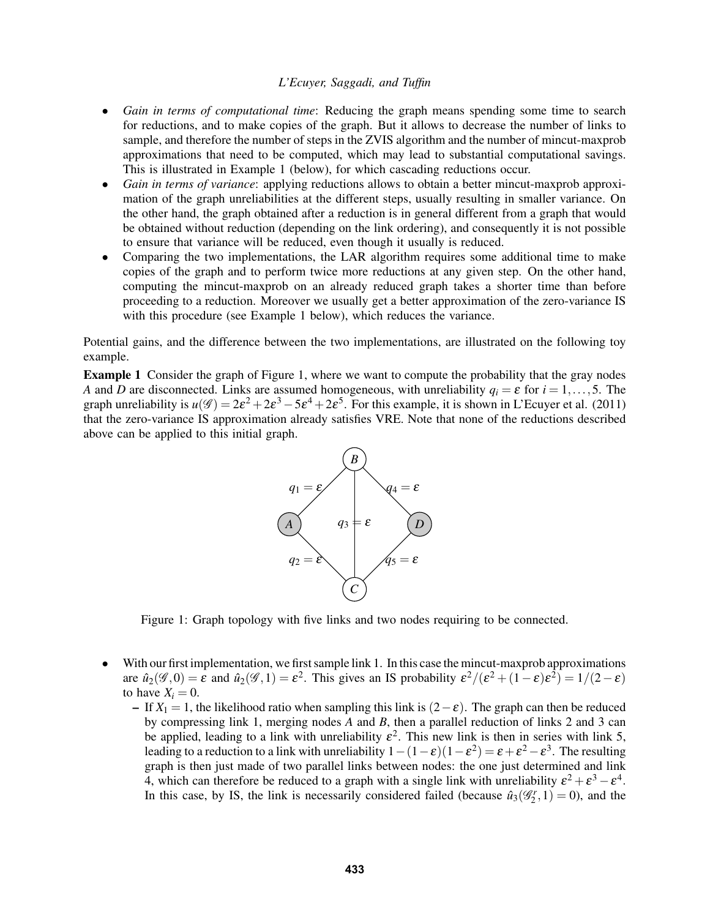- *Gain in terms of computational time*: Reducing the graph means spending some time to search for reductions, and to make copies of the graph. But it allows to decrease the number of links to sample, and therefore the number of steps in the ZVIS algorithm and the number of mincut-maxprob approximations that need to be computed, which may lead to substantial computational savings. This is illustrated in Example 1 (below), for which cascading reductions occur.
- *Gain in terms of variance*: applying reductions allows to obtain a better mincut-maxprob approximation of the graph unreliabilities at the different steps, usually resulting in smaller variance. On the other hand, the graph obtained after a reduction is in general different from a graph that would be obtained without reduction (depending on the link ordering), and consequently it is not possible to ensure that variance will be reduced, even though it usually is reduced.
- Comparing the two implementations, the LAR algorithm requires some additional time to make copies of the graph and to perform twice more reductions at any given step. On the other hand, computing the mincut-maxprob on an already reduced graph takes a shorter time than before proceeding to a reduction. Moreover we usually get a better approximation of the zero-variance IS with this procedure (see Example 1 below), which reduces the variance.

Potential gains, and the difference between the two implementations, are illustrated on the following toy example.

Example 1 Consider the graph of Figure 1, where we want to compute the probability that the gray nodes *A* and *D* are disconnected. Links are assumed homogeneous, with unreliability  $q_i = \varepsilon$  for  $i = 1, \ldots, 5$ . The graph unreliability is  $u(\mathscr{G}) = 2\varepsilon^2 + 2\varepsilon^3 - 5\varepsilon^4 + 2\varepsilon^5$ . For this example, it is shown in L'Ecuyer et al. (2011) that the zero-variance IS approximation already satisfies VRE. Note that none of the reductions described above can be applied to this initial graph.



Figure 1: Graph topology with five links and two nodes requiring to be connected.

- With our first implementation, we first sample link 1. In this case the mincut-maxprob approximations are  $\hat{u}_2(\mathscr{G},0) = \varepsilon$  and  $\hat{u}_2(\mathscr{G},1) = \varepsilon^2$ . This gives an IS probability  $\varepsilon^2/(\varepsilon^2 + (1-\varepsilon)\varepsilon^2) = 1/(2-\varepsilon)$ to have  $X_i = 0$ .
	- If  $X_1 = 1$ , the likelihood ratio when sampling this link is  $(2 \varepsilon)$ . The graph can then be reduced by compressing link 1, merging nodes *A* and *B*, then a parallel reduction of links 2 and 3 can be applied, leading to a link with unreliability  $\varepsilon^2$ . This new link is then in series with link 5, leading to a reduction to a link with unreliability  $1-(1-\epsilon)(1-\epsilon^2) = \epsilon + \epsilon^2 - \epsilon^3$ . The resulting graph is then just made of two parallel links between nodes: the one just determined and link 4, which can therefore be reduced to a graph with a single link with unreliability  $\varepsilon^2 + \varepsilon^3 - \varepsilon^4$ . In this case, by IS, the link is necessarily considered failed (because  $\hat{u}_3(\mathscr{G}_2^r, 1) = 0$ ), and the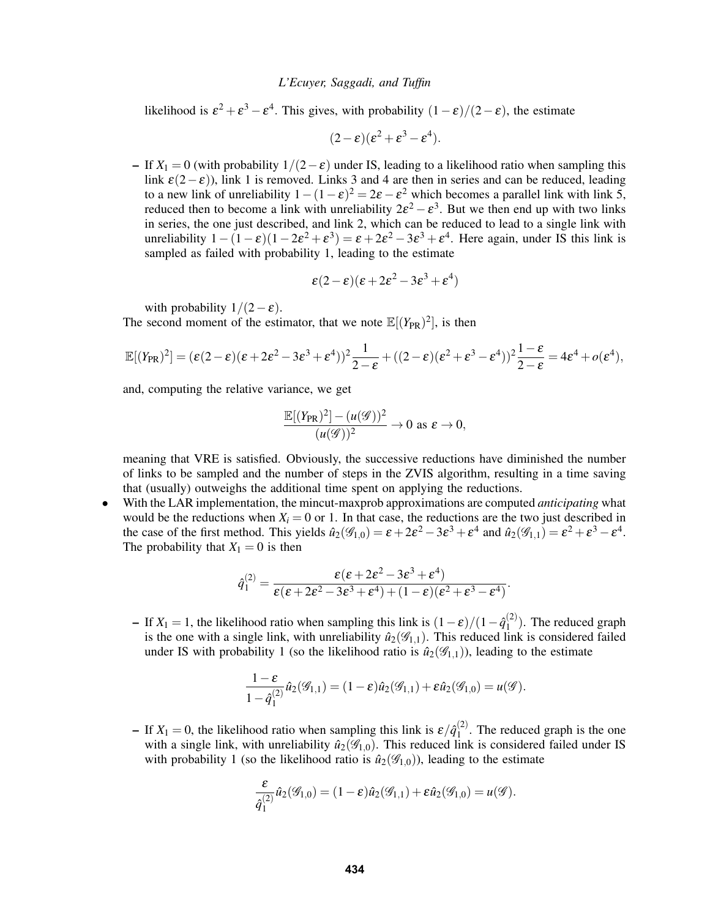likelihood is  $\varepsilon^2 + \varepsilon^3 - \varepsilon^4$ . This gives, with probability  $(1 - \varepsilon)/(2 - \varepsilon)$ , the estimate

$$
(2-\varepsilon)(\varepsilon^2+\varepsilon^3-\varepsilon^4).
$$

– If  $X_1 = 0$  (with probability  $1/(2-\varepsilon)$  under IS, leading to a likelihood ratio when sampling this link  $\varepsilon(2-\varepsilon)$ ), link 1 is removed. Links 3 and 4 are then in series and can be reduced, leading to a new link of unreliability  $1 - (1 - \varepsilon)^2 = 2\varepsilon - \varepsilon^2$  which becomes a parallel link with link 5, reduced then to become a link with unreliability  $2\varepsilon^2 - \varepsilon^3$ . But we then end up with two links in series, the one just described, and link 2, which can be reduced to lead to a single link with unreliability  $1 - (1 - \varepsilon)(1 - 2\varepsilon^2 + \varepsilon^3) = \varepsilon + 2\varepsilon^2 - 3\varepsilon^3 + \varepsilon^4$ . Here again, under IS this link is sampled as failed with probability 1, leading to the estimate

$$
\varepsilon(2-\varepsilon)(\varepsilon+2\varepsilon^2-3\varepsilon^3+\varepsilon^4)
$$

with probability  $1/(2-\varepsilon)$ .

The second moment of the estimator, that we note  $\mathbb{E}[(Y_{PR})^2]$ , is then

$$
\mathbb{E}[(Y_{PR})^2] = (\varepsilon(2-\varepsilon)(\varepsilon + 2\varepsilon^2 - 3\varepsilon^3 + \varepsilon^4))^2 \frac{1}{2-\varepsilon} + ((2-\varepsilon)(\varepsilon^2 + \varepsilon^3 - \varepsilon^4))^2 \frac{1-\varepsilon}{2-\varepsilon} = 4\varepsilon^4 + o(\varepsilon^4),
$$

and, computing the relative variance, we get

$$
\frac{\mathbb{E}[(Y_{PR})^2] - (u(\mathscr{G}))^2}{(u(\mathscr{G}))^2} \to 0 \text{ as } \varepsilon \to 0,
$$

meaning that VRE is satisfied. Obviously, the successive reductions have diminished the number of links to be sampled and the number of steps in the ZVIS algorithm, resulting in a time saving that (usually) outweighs the additional time spent on applying the reductions.

• With the LAR implementation, the mincut-maxprob approximations are computed *anticipating* what would be the reductions when  $X_i = 0$  or 1. In that case, the reductions are the two just described in the case of the first method. This yields  $\hat{u}_2(\mathscr{G}_{1,0}) = \varepsilon + 2\varepsilon^2 - 3\varepsilon^3 + \varepsilon^4$  and  $\hat{u}_2(\mathscr{G}_{1,1}) = \varepsilon^2 + \varepsilon^3 - \varepsilon^4$ . The probability that  $X_1 = 0$  is then

$$
\hat{q}_1^{(2)} = \frac{\varepsilon(\varepsilon + 2\varepsilon^2 - 3\varepsilon^3 + \varepsilon^4)}{\varepsilon(\varepsilon + 2\varepsilon^2 - 3\varepsilon^3 + \varepsilon^4) + (1 - \varepsilon)(\varepsilon^2 + \varepsilon^3 - \varepsilon^4)}.
$$

– If *X*<sub>1</sub> = 1, the likelihood ratio when sampling this link is  $(1 – ε)/(1 –  $\hat{q}_1^{(2)}$ )$  $1^{(2)}$ ). The reduced graph is the one with a single link, with unreliability  $\hat{u}_2(\mathscr{G}_{1,1})$ . This reduced link is considered failed under IS with probability 1 (so the likelihood ratio is  $\hat{u}_2(\mathscr{G}_{1,1})$ ), leading to the estimate

$$
\frac{1-\varepsilon}{1-\hat{q}_1^{(2)}}\hat{u}_2(\mathscr{G}_{1,1})=(1-\varepsilon)\hat{u}_2(\mathscr{G}_{1,1})+\varepsilon\hat{u}_2(\mathscr{G}_{1,0})=u(\mathscr{G}).
$$

– If  $X_1 = 0$ , the likelihood ratio when sampling this link is  $\varepsilon / \hat{q}_1^{(2)}$  $1^{(2)}$ . The reduced graph is the one with a single link, with unreliability  $\hat{u}_2(\mathscr{G}_{1,0})$ . This reduced link is considered failed under IS with probability 1 (so the likelihood ratio is  $\hat{u}_2(\mathscr{G}_{1,0})$ ), leading to the estimate

$$
\frac{\varepsilon}{\hat{q}_1^{(2)}}\hat{u}_2(\mathscr{G}_{1,0}) = (1-\varepsilon)\hat{u}_2(\mathscr{G}_{1,1}) + \varepsilon \hat{u}_2(\mathscr{G}_{1,0}) = u(\mathscr{G}).
$$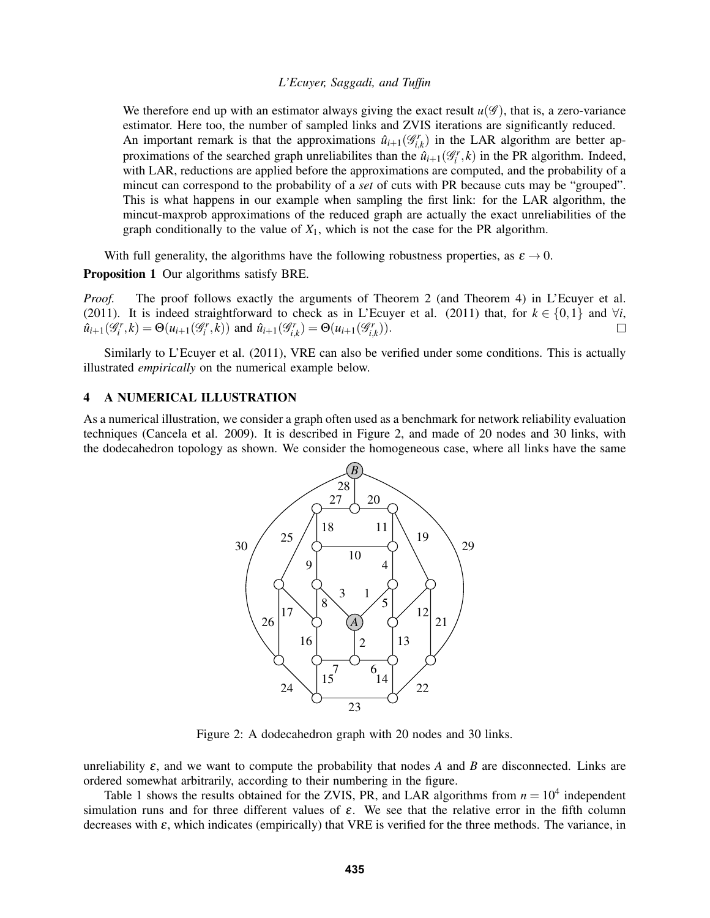We therefore end up with an estimator always giving the exact result  $u(\mathscr{G})$ , that is, a zero-variance estimator. Here too, the number of sampled links and ZVIS iterations are significantly reduced. An important remark is that the approximations  $\hat{u}_{i+1}(\mathcal{G}_{i,k}^r)$  in the LAR algorithm are better approximations of the searched graph unreliabilites than the  $\hat{u}_{i+1}(G_i^r, k)$  in the PR algorithm. Indeed, with LAR, reductions are applied before the approximations are computed, and the probability of a mincut can correspond to the probability of a *set* of cuts with PR because cuts may be "grouped". This is what happens in our example when sampling the first link: for the LAR algorithm, the mincut-maxprob approximations of the reduced graph are actually the exact unreliabilities of the graph conditionally to the value of  $X_1$ , which is not the case for the PR algorithm.

With full generality, the algorithms have the following robustness properties, as  $\varepsilon \to 0$ .

Proposition 1 Our algorithms satisfy BRE.

*Proof.* The proof follows exactly the arguments of Theorem 2 (and Theorem 4) in L'Ecuyer et al. (2011). It is indeed straightforward to check as in L'Ecuyer et al. (2011) that, for  $k \in \{0,1\}$  and  $\forall i$ ,  $\hat{u}_{i+1}(\mathcal{G}_{i}^{r}, k) = \Theta(u_{i+1}(\mathcal{G}_{i}^{r}, k))$  and  $\hat{u}_{i+1}(\mathcal{G}_{i,k}^{r}) = \Theta(u_{i+1}(\mathcal{G}_{i,k}^{r})).$  $\Box$ 

Similarly to L'Ecuyer et al. (2011), VRE can also be verified under some conditions. This is actually illustrated *empirically* on the numerical example below.

### 4 A NUMERICAL ILLUSTRATION

As a numerical illustration, we consider a graph often used as a benchmark for network reliability evaluation techniques (Cancela et al. 2009). It is described in Figure 2, and made of 20 nodes and 30 links, with the dodecahedron topology as shown. We consider the homogeneous case, where all links have the same



Figure 2: A dodecahedron graph with 20 nodes and 30 links.

unreliability  $\varepsilon$ , and we want to compute the probability that nodes A and B are disconnected. Links are ordered somewhat arbitrarily, according to their numbering in the figure.

Table 1 shows the results obtained for the ZVIS, PR, and LAR algorithms from  $n = 10^4$  independent simulation runs and for three different values of  $\varepsilon$ . We see that the relative error in the fifth column decreases with  $\varepsilon$ , which indicates (empirically) that VRE is verified for the three methods. The variance, in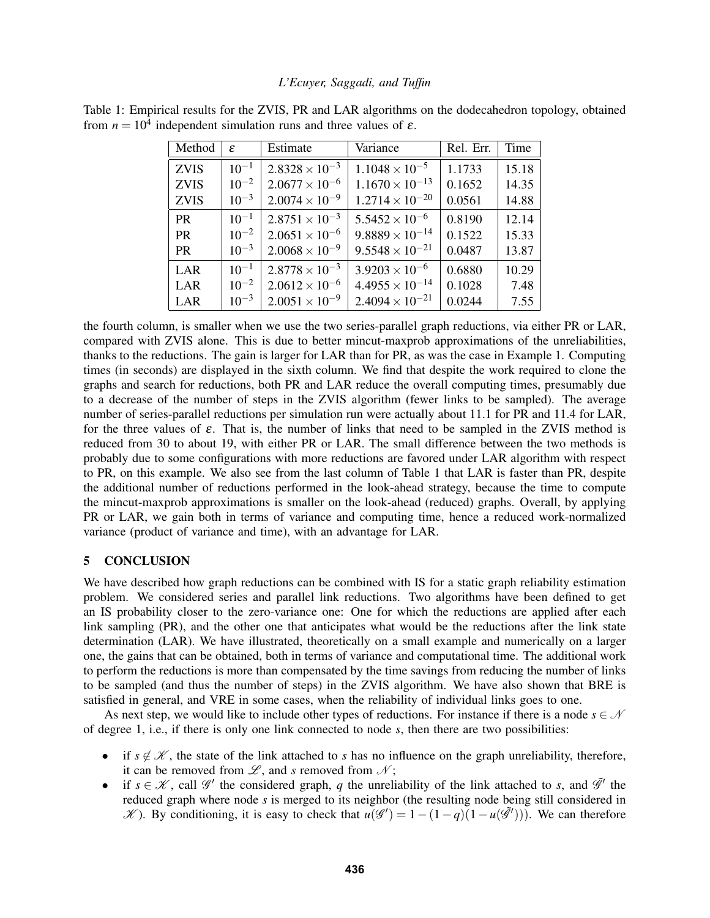| Method      | $\varepsilon$ | Estimate                | Variance                 | Rel. Err. | Time  |
|-------------|---------------|-------------------------|--------------------------|-----------|-------|
| <b>ZVIS</b> | $10^{-1}$     | $2.8328 \times 10^{-3}$ | $1.1048 \times 10^{-5}$  | 1.1733    | 15.18 |
| <b>ZVIS</b> | $10^{-2}$     | $2.0677 \times 10^{-6}$ | $1.1670 \times 10^{-13}$ | 0.1652    | 14.35 |
| <b>ZVIS</b> | $10^{-3}$     | $2.0074 \times 10^{-9}$ | $1.2714 \times 10^{-20}$ | 0.0561    | 14.88 |
| <b>PR</b>   | $10^{-1}$     | $2.8751 \times 10^{-3}$ | $5.5452 \times 10^{-6}$  | 0.8190    | 12.14 |
| <b>PR</b>   | $10^{-2}$     | $2.0651 \times 10^{-6}$ | $9.8889 \times 10^{-14}$ | 0.1522    | 15.33 |
| <b>PR</b>   | $10^{-3}$     | $2.0068 \times 10^{-9}$ | $9.5548 \times 10^{-21}$ | 0.0487    | 13.87 |
| LAR         | $10^{-1}$     | $2.8778 \times 10^{-3}$ | $3.9203 \times 10^{-6}$  | 0.6880    | 10.29 |
| LAR         | $10^{-2}$     | $2.0612 \times 10^{-6}$ | $4.4955 \times 10^{-14}$ | 0.1028    | 7.48  |
| LAR         | $10^{-3}$     | $2.0051 \times 10^{-9}$ | $2.4094 \times 10^{-21}$ | 0.0244    | 7.55  |

Table 1: Empirical results for the ZVIS, PR and LAR algorithms on the dodecahedron topology, obtained from  $n = 10<sup>4</sup>$  independent simulation runs and three values of  $\varepsilon$ .

the fourth column, is smaller when we use the two series-parallel graph reductions, via either PR or LAR, compared with ZVIS alone. This is due to better mincut-maxprob approximations of the unreliabilities, thanks to the reductions. The gain is larger for LAR than for PR, as was the case in Example 1. Computing times (in seconds) are displayed in the sixth column. We find that despite the work required to clone the graphs and search for reductions, both PR and LAR reduce the overall computing times, presumably due to a decrease of the number of steps in the ZVIS algorithm (fewer links to be sampled). The average number of series-parallel reductions per simulation run were actually about 11.1 for PR and 11.4 for LAR, for the three values of  $\varepsilon$ . That is, the number of links that need to be sampled in the ZVIS method is reduced from 30 to about 19, with either PR or LAR. The small difference between the two methods is probably due to some configurations with more reductions are favored under LAR algorithm with respect to PR, on this example. We also see from the last column of Table 1 that LAR is faster than PR, despite the additional number of reductions performed in the look-ahead strategy, because the time to compute the mincut-maxprob approximations is smaller on the look-ahead (reduced) graphs. Overall, by applying PR or LAR, we gain both in terms of variance and computing time, hence a reduced work-normalized variance (product of variance and time), with an advantage for LAR.

# 5 CONCLUSION

We have described how graph reductions can be combined with IS for a static graph reliability estimation problem. We considered series and parallel link reductions. Two algorithms have been defined to get an IS probability closer to the zero-variance one: One for which the reductions are applied after each link sampling (PR), and the other one that anticipates what would be the reductions after the link state determination (LAR). We have illustrated, theoretically on a small example and numerically on a larger one, the gains that can be obtained, both in terms of variance and computational time. The additional work to perform the reductions is more than compensated by the time savings from reducing the number of links to be sampled (and thus the number of steps) in the ZVIS algorithm. We have also shown that BRE is satisfied in general, and VRE in some cases, when the reliability of individual links goes to one.

As next step, we would like to include other types of reductions. For instance if there is a node  $s \in \mathcal{N}$ of degree 1, i.e., if there is only one link connected to node *s*, then there are two possibilities:

- if  $s \notin \mathcal{K}$ , the state of the link attached to *s* has no influence on the graph unreliability, therefore, it can be removed from  $\mathscr{L}$ , and *s* removed from  $\mathscr{N}$ ;
- if  $s \in \mathcal{K}$ , call  $\mathcal{G}'$  the considered graph, *q* the unreliability of the link attached to *s*, and  $\tilde{\mathcal{G}}'$  the reduced graph where node *s* is merged to its neighbor (the resulting node being still considered in  $K$ ). By conditioning, it is easy to check that  $u(\mathscr{G}') = 1 - (1 - q)(1 - u(\mathscr{G}'))$ . We can therefore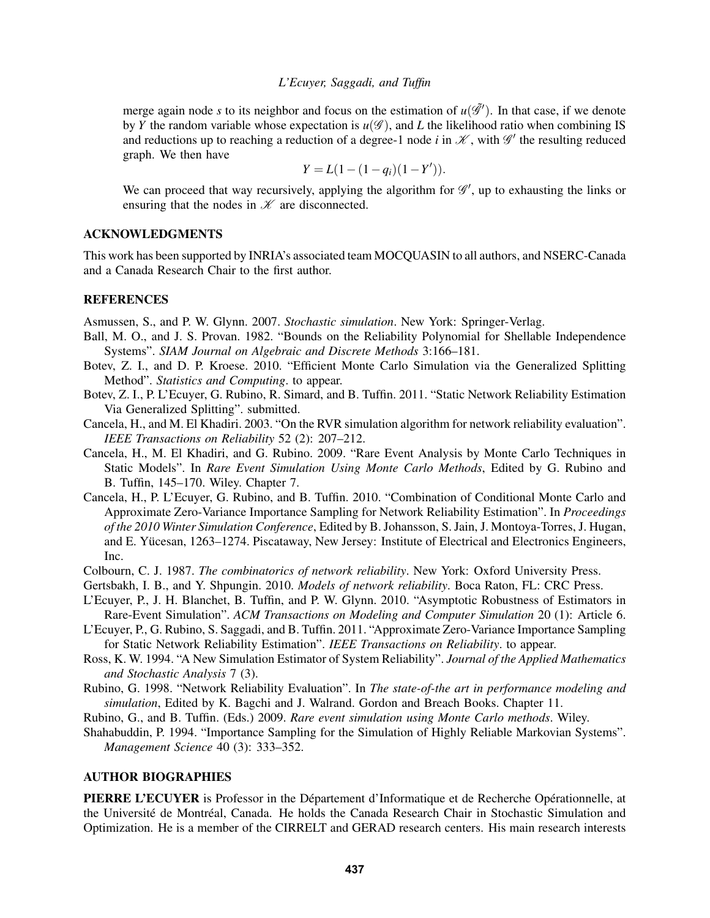merge again node *s* to its neighbor and focus on the estimation of  $u(\tilde{\mathscr{G}}')$ . In that case, if we denote by *Y* the random variable whose expectation is  $u(\mathscr{G})$ , and *L* the likelihood ratio when combining IS and reductions up to reaching a reduction of a degree-1 node *i* in  $\mathcal{K}$ , with  $\mathcal{G}'$  the resulting reduced graph. We then have

$$
Y = L(1 - (1 - q_i)(1 - Y')).
$$

We can proceed that way recursively, applying the algorithm for  $\mathscr{G}'$ , up to exhausting the links or ensuring that the nodes in  $K$  are disconnected.

## ACKNOWLEDGMENTS

This work has been supported by INRIA's associated team MOCQUASIN to all authors, and NSERC-Canada and a Canada Research Chair to the first author.

### **REFERENCES**

Asmussen, S., and P. W. Glynn. 2007. *Stochastic simulation*. New York: Springer-Verlag.

- Ball, M. O., and J. S. Provan. 1982. "Bounds on the Reliability Polynomial for Shellable Independence Systems". *SIAM Journal on Algebraic and Discrete Methods* 3:166–181.
- Botev, Z. I., and D. P. Kroese. 2010. "Efficient Monte Carlo Simulation via the Generalized Splitting Method". *Statistics and Computing*. to appear.
- Botev, Z. I., P. L'Ecuyer, G. Rubino, R. Simard, and B. Tuffin. 2011. "Static Network Reliability Estimation Via Generalized Splitting". submitted.
- Cancela, H., and M. El Khadiri. 2003. "On the RVR simulation algorithm for network reliability evaluation". *IEEE Transactions on Reliability* 52 (2): 207–212.
- Cancela, H., M. El Khadiri, and G. Rubino. 2009. "Rare Event Analysis by Monte Carlo Techniques in Static Models". In *Rare Event Simulation Using Monte Carlo Methods*, Edited by G. Rubino and B. Tuffin, 145–170. Wiley. Chapter 7.
- Cancela, H., P. L'Ecuyer, G. Rubino, and B. Tuffin. 2010. "Combination of Conditional Monte Carlo and Approximate Zero-Variance Importance Sampling for Network Reliability Estimation". In *Proceedings of the 2010 Winter Simulation Conference*, Edited by B. Johansson, S. Jain, J. Montoya-Torres, J. Hugan, and E. Yücesan, 1263–1274. Piscataway, New Jersey: Institute of Electrical and Electronics Engineers, Inc.
- Colbourn, C. J. 1987. *The combinatorics of network reliability*. New York: Oxford University Press.
- Gertsbakh, I. B., and Y. Shpungin. 2010. *Models of network reliability*. Boca Raton, FL: CRC Press.
- L'Ecuyer, P., J. H. Blanchet, B. Tuffin, and P. W. Glynn. 2010. "Asymptotic Robustness of Estimators in Rare-Event Simulation". *ACM Transactions on Modeling and Computer Simulation* 20 (1): Article 6.
- L'Ecuyer, P., G. Rubino, S. Saggadi, and B. Tuffin. 2011. "Approximate Zero-Variance Importance Sampling for Static Network Reliability Estimation". *IEEE Transactions on Reliability*. to appear.
- Ross, K. W. 1994. "A New Simulation Estimator of System Reliability". *Journal of the Applied Mathematics and Stochastic Analysis* 7 (3).
- Rubino, G. 1998. "Network Reliability Evaluation". In *The state-of-the art in performance modeling and simulation*, Edited by K. Bagchi and J. Walrand. Gordon and Breach Books. Chapter 11.
- Rubino, G., and B. Tuffin. (Eds.) 2009. *Rare event simulation using Monte Carlo methods*. Wiley.
- Shahabuddin, P. 1994. "Importance Sampling for the Simulation of Highly Reliable Markovian Systems". *Management Science* 40 (3): 333–352.

# AUTHOR BIOGRAPHIES

PIERRE L'ECUYER is Professor in the Département d'Informatique et de Recherche Opérationnelle, at the Université de Montréal, Canada. He holds the Canada Research Chair in Stochastic Simulation and Optimization. He is a member of the CIRRELT and GERAD research centers. His main research interests